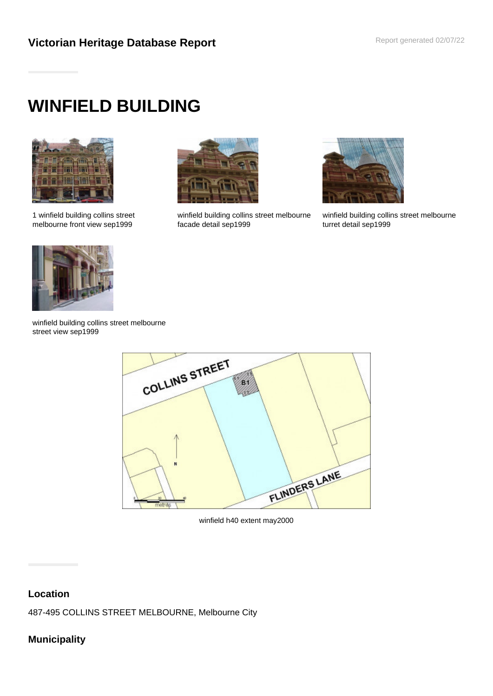# **WINFIELD BUILDING**



1 winfield building collins street melbourne front view sep1999



winfield building collins street melbourne facade detail sep1999



winfield building collins street melbourne turret detail sep1999



winfield building collins street melbourne street view sep1999



winfield h40 extent may2000

# **Location**

487-495 COLLINS STREET MELBOURNE, Melbourne City

# **Municipality**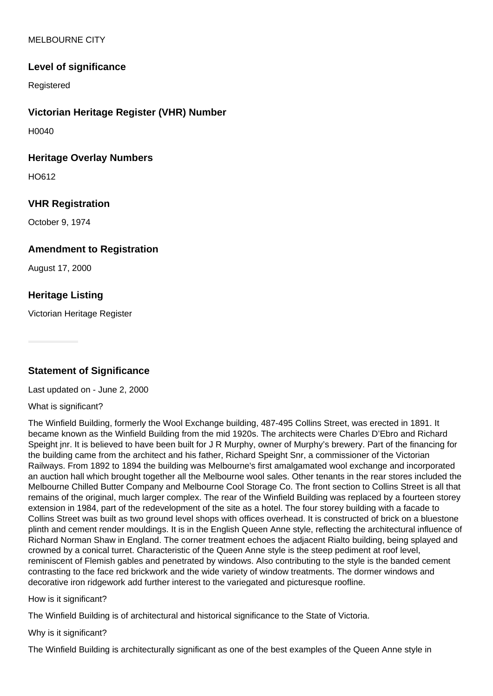### MELBOURNE CITY

## **Level of significance**

Registered

## **Victorian Heritage Register (VHR) Number**

H0040

#### **Heritage Overlay Numbers**

HO612

### **VHR Registration**

October 9, 1974

## **Amendment to Registration**

August 17, 2000

## **Heritage Listing**

Victorian Heritage Register

## **Statement of Significance**

Last updated on - June 2, 2000

What is significant?

The Winfield Building, formerly the Wool Exchange building, 487-495 Collins Street, was erected in 1891. It became known as the Winfield Building from the mid 1920s. The architects were Charles D'Ebro and Richard Speight jnr. It is believed to have been built for J R Murphy, owner of Murphy's brewery. Part of the financing for the building came from the architect and his father, Richard Speight Snr, a commissioner of the Victorian Railways. From 1892 to 1894 the building was Melbourne's first amalgamated wool exchange and incorporated an auction hall which brought together all the Melbourne wool sales. Other tenants in the rear stores included the Melbourne Chilled Butter Company and Melbourne Cool Storage Co. The front section to Collins Street is all that remains of the original, much larger complex. The rear of the Winfield Building was replaced by a fourteen storey extension in 1984, part of the redevelopment of the site as a hotel. The four storey building with a facade to Collins Street was built as two ground level shops with offices overhead. It is constructed of brick on a bluestone plinth and cement render mouldings. It is in the English Queen Anne style, reflecting the architectural influence of Richard Norman Shaw in England. The corner treatment echoes the adjacent Rialto building, being splayed and crowned by a conical turret. Characteristic of the Queen Anne style is the steep pediment at roof level, reminiscent of Flemish gables and penetrated by windows. Also contributing to the style is the banded cement contrasting to the face red brickwork and the wide variety of window treatments. The dormer windows and decorative iron ridgework add further interest to the variegated and picturesque roofline.

How is it significant?

The Winfield Building is of architectural and historical significance to the State of Victoria.

Why is it significant?

The Winfield Building is architecturally significant as one of the best examples of the Queen Anne style in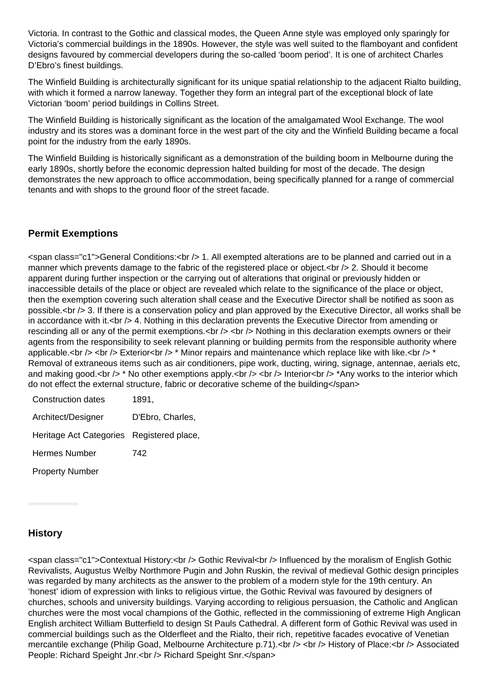Victoria. In contrast to the Gothic and classical modes, the Queen Anne style was employed only sparingly for Victoria's commercial buildings in the 1890s. However, the style was well suited to the flamboyant and confident designs favoured by commercial developers during the so-called 'boom period'. It is one of architect Charles D'Ebro's finest buildings.

The Winfield Building is architecturally significant for its unique spatial relationship to the adjacent Rialto building, with which it formed a narrow laneway. Together they form an integral part of the exceptional block of late Victorian 'boom' period buildings in Collins Street.

The Winfield Building is historically significant as the location of the amalgamated Wool Exchange. The wool industry and its stores was a dominant force in the west part of the city and the Winfield Building became a focal point for the industry from the early 1890s.

The Winfield Building is historically significant as a demonstration of the building boom in Melbourne during the early 1890s, shortly before the economic depression halted building for most of the decade. The design demonstrates the new approach to office accommodation, being specifically planned for a range of commercial tenants and with shops to the ground floor of the street facade.

# **Permit Exemptions**

<span class="c1">General Conditions:<br /> 1. All exempted alterations are to be planned and carried out in a manner which prevents damage to the fabric of the registered place or object.<br />>>>> 2. Should it become apparent during further inspection or the carrying out of alterations that original or previously hidden or inaccessible details of the place or object are revealed which relate to the significance of the place or object, then the exemption covering such alteration shall cease and the Executive Director shall be notified as soon as possible.<br /> 3. If there is a conservation policy and plan approved by the Executive Director, all works shall be in accordance with it.<br /> 4. Nothing in this declaration prevents the Executive Director from amending or rescinding all or any of the permit exemptions.<br /> <br />  $\epsilon$  Nothing in this declaration exempts owners or their agents from the responsibility to seek relevant planning or building permits from the responsible authority where applicable.<br />> <br />> Exterior<br />> \* Minor repairs and maintenance which replace like with like.<br />
\* Removal of extraneous items such as air conditioners, pipe work, ducting, wiring, signage, antennae, aerials etc, and making good.<br />> \* No other exemptions apply.<br />> <br />> <br />Interior<br />> \*Any works to the interior which do not effect the external structure, fabric or decorative scheme of the building</span>

| Construction dates                        | 1891,            |
|-------------------------------------------|------------------|
| Architect/Designer                        | D'Ebro, Charles, |
| Heritage Act Categories Registered place, |                  |
| Hermes Number                             | 742              |
| <b>Property Number</b>                    |                  |

# **History**

<span class="c1">Contextual History:<br /> Gothic Revival<br /> Influenced by the moralism of English Gothic Revivalists, Augustus Welby Northmore Pugin and John Ruskin, the revival of medieval Gothic design principles was regarded by many architects as the answer to the problem of a modern style for the 19th century. An 'honest' idiom of expression with links to religious virtue, the Gothic Revival was favoured by designers of churches, schools and university buildings. Varying according to religious persuasion, the Catholic and Anglican churches were the most vocal champions of the Gothic, reflected in the commissioning of extreme High Anglican English architect William Butterfield to design St Pauls Cathedral. A different form of Gothic Revival was used in commercial buildings such as the Olderfleet and the Rialto, their rich, repetitive facades evocative of Venetian mercantile exchange (Philip Goad, Melbourne Architecture p.71).<br />> <br /> History of Place:<br />
lexisted People: Richard Speight Jnr.<br />>
Richard Speight Snr.</span>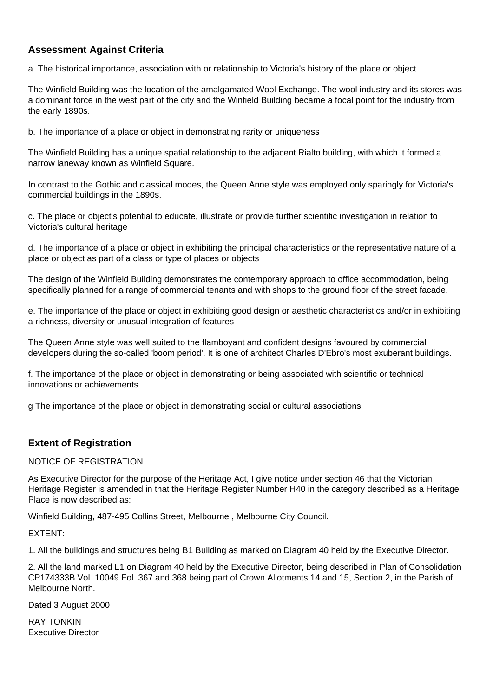# **Assessment Against Criteria**

a. The historical importance, association with or relationship to Victoria's history of the place or object

The Winfield Building was the location of the amalgamated Wool Exchange. The wool industry and its stores was a dominant force in the west part of the city and the Winfield Building became a focal point for the industry from the early 1890s.

b. The importance of a place or object in demonstrating rarity or uniqueness

The Winfield Building has a unique spatial relationship to the adjacent Rialto building, with which it formed a narrow laneway known as Winfield Square.

In contrast to the Gothic and classical modes, the Queen Anne style was employed only sparingly for Victoria's commercial buildings in the 1890s.

c. The place or object's potential to educate, illustrate or provide further scientific investigation in relation to Victoria's cultural heritage

d. The importance of a place or object in exhibiting the principal characteristics or the representative nature of a place or object as part of a class or type of places or objects

The design of the Winfield Building demonstrates the contemporary approach to office accommodation, being specifically planned for a range of commercial tenants and with shops to the ground floor of the street facade.

e. The importance of the place or object in exhibiting good design or aesthetic characteristics and/or in exhibiting a richness, diversity or unusual integration of features

The Queen Anne style was well suited to the flamboyant and confident designs favoured by commercial developers during the so-called 'boom period'. It is one of architect Charles D'Ebro's most exuberant buildings.

f. The importance of the place or object in demonstrating or being associated with scientific or technical innovations or achievements

g The importance of the place or object in demonstrating social or cultural associations

### **Extent of Registration**

#### NOTICE OF REGISTRATION

As Executive Director for the purpose of the Heritage Act, I give notice under section 46 that the Victorian Heritage Register is amended in that the Heritage Register Number H40 in the category described as a Heritage Place is now described as:

Winfield Building, 487-495 Collins Street, Melbourne , Melbourne City Council.

#### EXTENT:

1. All the buildings and structures being B1 Building as marked on Diagram 40 held by the Executive Director.

2. All the land marked L1 on Diagram 40 held by the Executive Director, being described in Plan of Consolidation CP174333B Vol. 10049 Fol. 367 and 368 being part of Crown Allotments 14 and 15, Section 2, in the Parish of Melbourne North.

Dated 3 August 2000

RAY TONKIN Executive Director